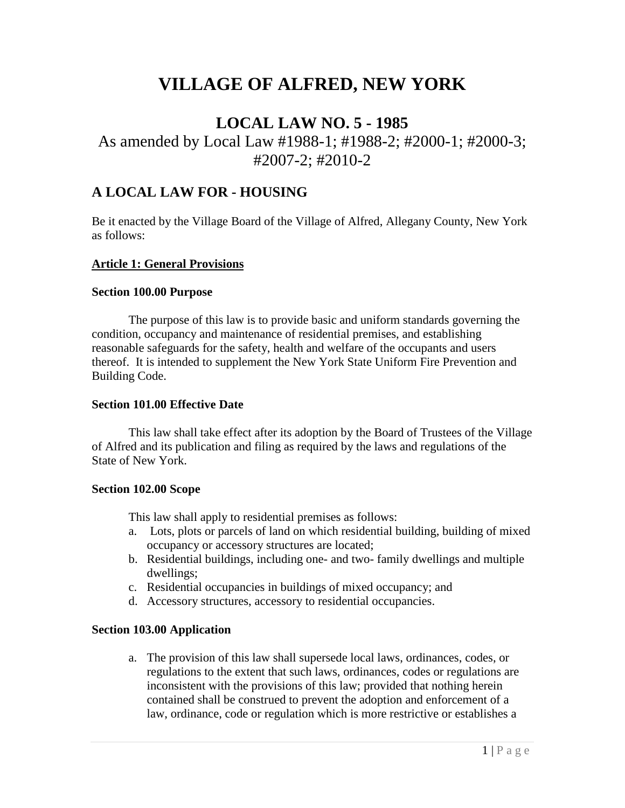# **VILLAGE OF ALFRED, NEW YORK**

## **LOCAL LAW NO. 5 - 1985**

## As amended by Local Law #1988-1; #1988-2; #2000-1; #2000-3; #2007-2; #2010-2

## **A LOCAL LAW FOR - HOUSING**

Be it enacted by the Village Board of the Village of Alfred, Allegany County, New York as follows:

#### **Article 1: General Provisions**

#### **Section 100.00 Purpose**

The purpose of this law is to provide basic and uniform standards governing the condition, occupancy and maintenance of residential premises, and establishing reasonable safeguards for the safety, health and welfare of the occupants and users thereof. It is intended to supplement the New York State Uniform Fire Prevention and Building Code.

#### **Section 101.00 Effective Date**

This law shall take effect after its adoption by the Board of Trustees of the Village of Alfred and its publication and filing as required by the laws and regulations of the State of New York.

#### **Section 102.00 Scope**

This law shall apply to residential premises as follows:

- a. Lots, plots or parcels of land on which residential building, building of mixed occupancy or accessory structures are located;
- b. Residential buildings, including one- and two- family dwellings and multiple dwellings;
- c. Residential occupancies in buildings of mixed occupancy; and
- d. Accessory structures, accessory to residential occupancies.

#### **Section 103.00 Application**

a. The provision of this law shall supersede local laws, ordinances, codes, or regulations to the extent that such laws, ordinances, codes or regulations are inconsistent with the provisions of this law; provided that nothing herein contained shall be construed to prevent the adoption and enforcement of a law, ordinance, code or regulation which is more restrictive or establishes a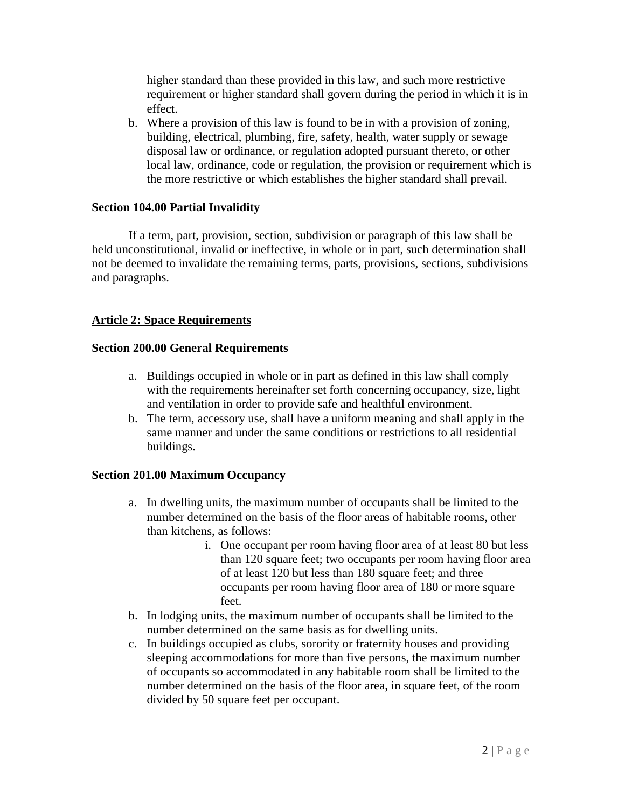higher standard than these provided in this law, and such more restrictive requirement or higher standard shall govern during the period in which it is in effect.

b. Where a provision of this law is found to be in with a provision of zoning, building, electrical, plumbing, fire, safety, health, water supply or sewage disposal law or ordinance, or regulation adopted pursuant thereto, or other local law, ordinance, code or regulation, the provision or requirement which is the more restrictive or which establishes the higher standard shall prevail.

#### **Section 104.00 Partial Invalidity**

If a term, part, provision, section, subdivision or paragraph of this law shall be held unconstitutional, invalid or ineffective, in whole or in part, such determination shall not be deemed to invalidate the remaining terms, parts, provisions, sections, subdivisions and paragraphs.

#### **Article 2: Space Requirements**

#### **Section 200.00 General Requirements**

- a. Buildings occupied in whole or in part as defined in this law shall comply with the requirements hereinafter set forth concerning occupancy, size, light and ventilation in order to provide safe and healthful environment.
- b. The term, accessory use, shall have a uniform meaning and shall apply in the same manner and under the same conditions or restrictions to all residential buildings.

#### **Section 201.00 Maximum Occupancy**

- a. In dwelling units, the maximum number of occupants shall be limited to the number determined on the basis of the floor areas of habitable rooms, other than kitchens, as follows:
	- i. One occupant per room having floor area of at least 80 but less than 120 square feet; two occupants per room having floor area of at least 120 but less than 180 square feet; and three occupants per room having floor area of 180 or more square feet.
- b. In lodging units, the maximum numberof occupants shall be limited to the number determined on the same basis as for dwelling units.
- c. In buildings occupied as clubs, sorority or fraternity houses and providing sleeping accommodations for more than five persons, the maximum number of occupants so accommodated in any habitable room shall be limited to the number determined on the basis of the floor area, in square feet, of the room divided by 50 square feet per occupant.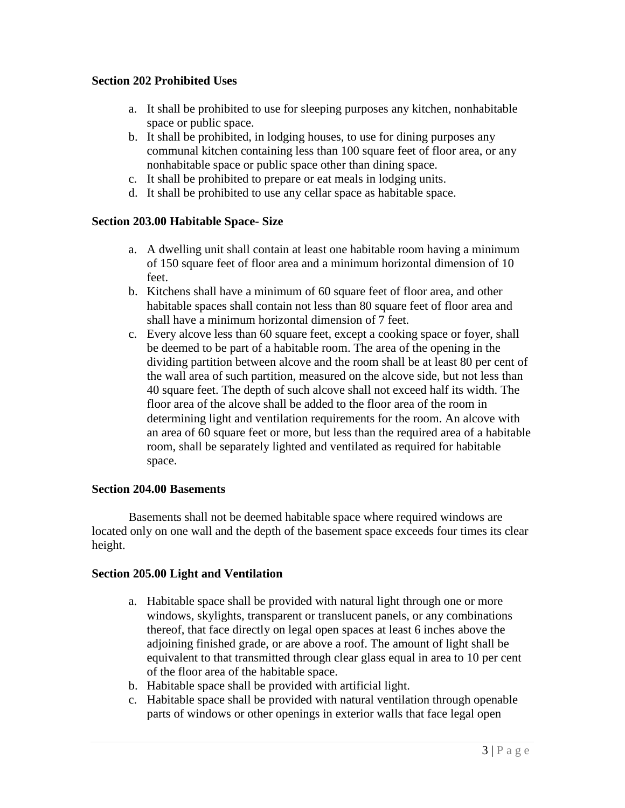#### **Section 202 Prohibited Uses**

- a. It shall be prohibited to use for sleeping purposes any kitchen, nonhabitable space or public space.
- b. It shall be prohibited, in lodging houses, to use for dining purposes any communal kitchen containing less than 100 square feet of floor area, or any nonhabitable space or public space other than dining space.
- c. It shall be prohibited to prepare or eat meals in lodging units.
- d. It shall be prohibited to use any cellar space as habitable space.

#### **Section 203.00 Habitable Space- Size**

- a. A dwelling unit shall contain at least one habitable room having a minimum of 150 square feet of floor area and a minimum horizontal dimension of 10 feet.
- b. Kitchens shall have a minimum of 60 square feet of floor area, and other habitable spaces shall contain not less than 80 square feet of floor area and shall have a minimum horizontal dimension of 7 feet.
- c. Every alcove less than 60 square feet, except a cooking space or foyer, shall be deemed to be part of a habitable room. The area of the opening in the dividing partition between alcove and the room shall be at least 80 per cent of the wall area of such partition, measured on the alcove side, but not less than 40 square feet. The depth of such alcove shall not exceed half its width. The floor area of the alcove shall be added to the floor area of the room in determining light and ventilation requirements for the room. An alcove with an area of 60 square feet or more, but less than the required area of a habitable room, shall be separately lighted and ventilated as required for habitable space.

#### **Section 204.00 Basements**

Basements shall not be deemed habitable space where required windows are located only on one wall and the depth of the basement space exceeds four times its clear height.

#### **Section 205.00 Light and Ventilation**

- a. Habitable space shall be provided with natural light through one or more windows, skylights, transparent or translucent panels, or any combinations thereof, that face directly on legal open spaces at least 6 inches above the adjoining finished grade, or are above a roof. The amount of light shall be equivalent to that transmitted through clear glass equal in area to 10 per cent of the floor area of the habitable space.
- b. Habitable space shall be provided with artificial light.
- c. Habitable space shall be provided with natural ventilation through openable parts of windows or other openings in exterior walls that face legal open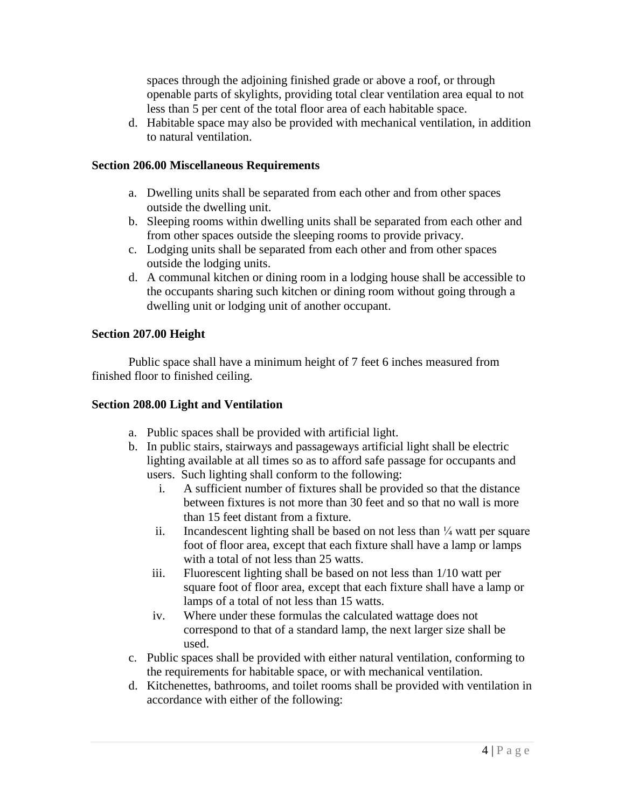spaces through the adjoining finished grade or above a roof, or through openable parts of skylights, providing total clear ventilation area equal to not less than 5 per cent of the total floor area of each habitable space.

d. Habitable space may also be provided with mechanical ventilation, in addition to natural ventilation.

#### **Section 206.00 Miscellaneous Requirements**

- a. Dwelling units shall be separated from eachother and from other spaces outside the dwelling unit.
- b. Sleeping rooms within dwelling units shall be separated from each other and from other spaces outside the sleeping rooms to provide privacy.
- c. Lodging units shall be separated from each other and from other spaces outside the lodging units.
- d. A communal kitchen or dining room in a lodging house shall be accessible to the occupants sharing such kitchen or dining room without going through a dwelling unit or lodging unit of another occupant.

#### **Section 207.00 Height**

Public space shall have a minimum height of 7 feet 6 inches measured from finished floor to finished ceiling.

#### **Section 208.00 Light and Ventilation**

- a. Public spaces shall be provided with artificial light.
- b. In public stairs, stairways and passageways artificial light shall be electric lighting available at all times so as to afford safe passage for occupants and users. Such lighting shall conform to the following:
	- i. A sufficient number of fixtures shall be provided so that the distance between fixtures is not more than 30 feet and so that no wall is more
	- than 15 feet distant from a fixture.<br>ii. Incandescent lighting shall be based on not less than  $\frac{1}{4}$  watt per square foot of floor area, except that each fixture shall have a lamp or lamps with a total of not less than 25 watts.
	- iii. Fluorescent lighting shall be based on not less than 1/10 watt per square foot of floor area, except that each fixture shall have a lamp or lamps of a total of not less than 15 watts.
	- iv. Where under these formulas the calculated wattage does not correspond to that of a standard lamp, the next larger size shall be used.
- c. Public spaces shall be provided with either natural ventilation, conforming to the requirements for habitable space, or with mechanical ventilation.
- d. Kitchenettes, bathrooms, and toilet rooms shall be provided with ventilation in accordance with either of the following: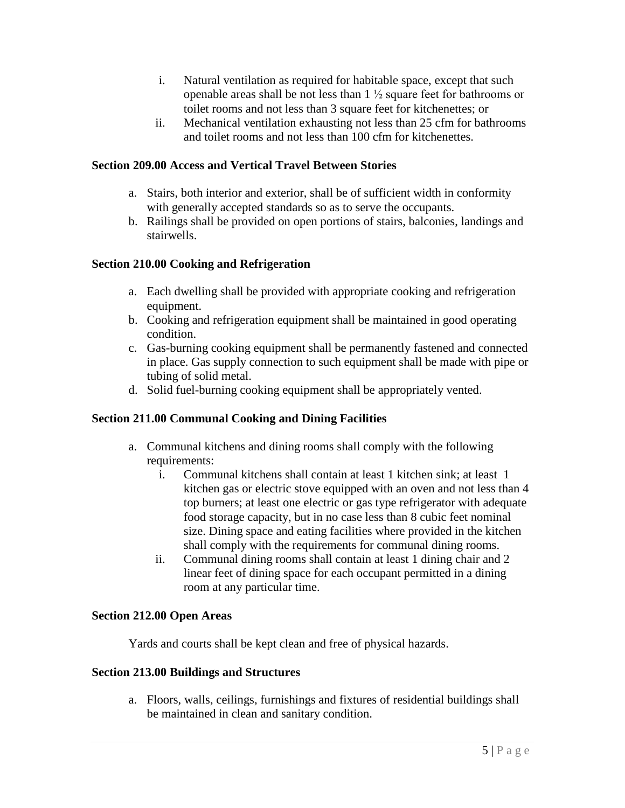- i. Natural ventilation as required for habitable space, except that such openable areas shall be not less than <sup>1</sup> <sup>½</sup> square feet for bathrooms <sup>o</sup><sup>r</sup> toilet rooms and not less than 3 square feet for kitchenettes; or
- ii. Mechanical ventilation exhausting not less than 25 cfm for bathrooms and toilet rooms and not less than 100 cfm for kitchenettes.

#### **Section 209.00 Access and Vertical Travel Between Stories**

- a. Stairs, both interior and exterior, shall be of sufficient width in conformity with generally accepted standards so as to serve the occupants.
- b. Railings shall be provided on open portions of stairs, balconies, landings and stairwells.

#### **Section 210.00 Cooking and Refrigeration**

- a. Each dwelling shall be provided with appropriate cooking and refrigeration equipment.
- b. Cooking and refrigeration equipment shall be maintained in good operating condition.
- c. Gas-burning cooking equipment shall be permanently fastened and connected in place. Gas supply connection to such equipment shall be made with pipe or tubing of solid metal.
- d. Solid fuel-burning cooking equipment shall be appropriately vented.

### **Section 211.00 Communal Cooking and Dining Facilities**

- a. Communal kitchens and dining rooms shall comply with the following requirements:
	- i. Communal kitchens shall contain at least 1 kitchen sink; at least 1 kitchen gas or electric stove equipped with an oven and not less than 4 top burners; at least one electric or gas type refrigerator with adequate food storage capacity, but in no case less than 8 cubic feet nominal size. Dining space and eating facilities where provided in the kitchen shall comply with the requirements for communal dining rooms.
	- ii. Communal dining rooms shall contain at least 1 dining chair and 2 linear feet of dining space for each occupant permitted in a dining room at any particular time.

#### **Section 212.00 Open Areas**

Yards and courts shall be kept clean and free of physical hazards.

#### **Section 213.00 Buildings and Structures**

a. Floors, walls, ceilings, furnishings and fixtures of residential buildings shall be maintained in clean and sanitary condition.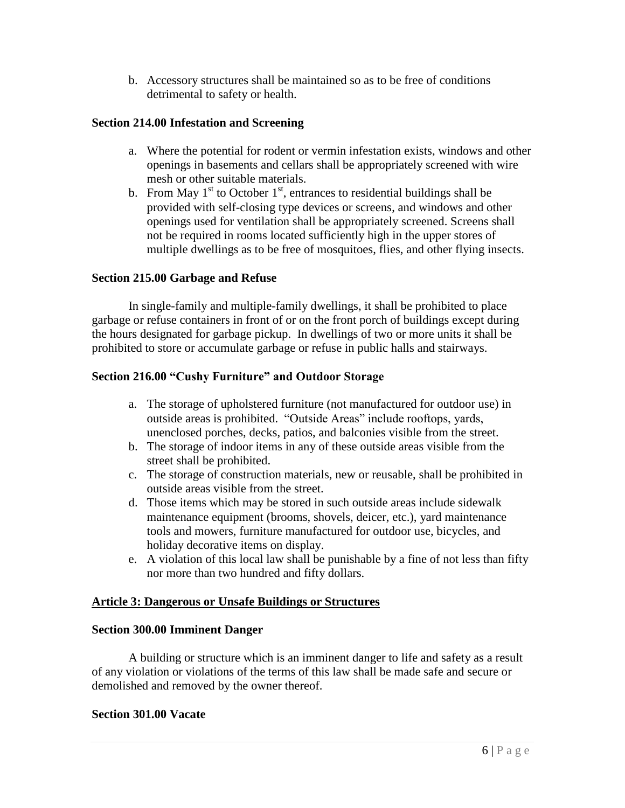b. Accessory structures shall be maintained so as to be free of conditions detrimental to safety or health.

#### **Section 214.00 Infestation and Screening**

- a. Where the potential for rodent or vermin infestation exists, windows and other openings in basements and cellars shall be appropriately screened with wire mesh or other suitable materials.
- b. From May  $1<sup>st</sup>$  to October  $1<sup>st</sup>$ , entrances to residential buildings shall be provided with self-closing type devices or screens, and windows and other openings used for ventilation shall be appropriately screened. Screens shall not be required in rooms located sufficiently high in the upper stores of multiple dwellings as to be free of mosquitoes, flies, and other flying insects.

#### **Section 215.00 Garbage and Refuse**

In single-family and multiple-family dwellings, it shall be prohibited to place garbage or refuse containers in front of or on the front porch of buildings except during the hours designated for garbage pickup. In dwellings of two or more units itshall be prohibited to store or accumulate garbage or refuse in public halls and stairways. **Section 216.00 ìCushy Furnitureî and Outdoor Storage**

- a. The storage of upholstered furniture (not manufactured for outdoor use) in The storage of upholstered furniture (not manufactured for outdoor use) is<br>outside areas is prohibited. "Outside Areas" include rooftops, yards, unenclosed porches, decks, patios, and balconies visible from the street.
- b. The storage of indoor items in any of these outside areas visible from the street shall be prohibited.
- c. The storage of construction materials, new or reusable, shall be prohibited in outside areas visible from the street.
- d. Those items which may be stored in such outside areas include sidewalk maintenance equipment (brooms, shovels, deicer, etc.), yard maintenance tools and mowers, furniture manufactured for outdoor use, bicycles, and holiday decorative items on display.
- e. A violation of this local law shall be punishable by a fine of not less than fifty nor more than two hundred and fifty dollars.

#### **Article 3: Dangerous or Unsafe Buildings or Structures**

#### **Section 300.00 Imminent Danger**

A building or structure which is an imminent danger to life and safety as a result of any violation or violations of the terms of this law shall be made safe and secure or demolished and removed by the owner thereof.

#### **Section 301.00 Vacate**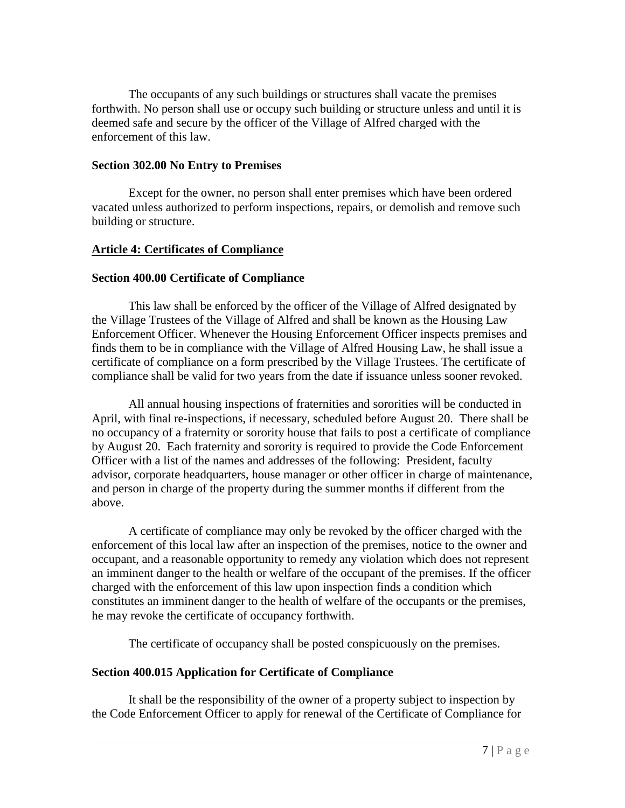The occupants of any such buildings or structures shall vacate the premises forthwith. No person shall use or occupy such building or structure unless and until it is deemed safe and secure by the officer of the Village of Alfred charged with the enforcement of this law.

#### **Section 302.00 No Entry to Premises**

Except for the owner, no person shall enter premises which have been ordered vacated unless authorized to perform inspections, repairs, or demolish and remove such building or structure.

#### **Article 4: Certificates of Compliance**

#### **Section 400.00 Certificate of Compliance**

This law shall be enforced by the officer of the Village of Alfred designated by the Village Trustees of the Village of Alfred and shall be known as the Housing Law Enforcement Officer. Whenever the Housing Enforcement Officer inspects premises and finds them to be in compliance with the Village of Alfred Housing Law, he shall issue a certificate of compliance on a form prescribed by the Village Trustees. The certificate of compliance shall be valid for two years from the date if issuance unless sooner revoked.

All annual housing inspections of fraternities and sororities will be conducted in April, with final re-inspections, if necessary, scheduled before August 20. There shall be no occupancy of a fraternity or sorority house that fails to post a certificate of compliance by August 20. Each fraternity and sorority is required to provide the Code Enforcement Officer with a list of the names and addresses of the following: President, faculty advisor, corporate headquarters, house manager or other officer in charge of maintenance, and person in charge of the property during the summer months if different from the above.

A certificate of compliance may only be revoked by the officer charged with the enforcement of this local law after an inspection of the premises, notice to the owner and occupant, and a reasonable opportunity to remedy any violation which does not represent an imminent danger to the health or welfare of the occupant of the premises. If the officer charged with the enforcement of this law upon inspection finds a condition which constitutes an imminent danger to the health of welfare of the occupants or the premises, he may revoke the certificate of occupancy forthwith.

The certificate of occupancy shall be posted conspicuously on the premises.

#### **Section 400.015 Application for Certificate of Compliance**

It shall be the responsibility of the owner of a property subject to inspection by the Code Enforcement Officer to apply for renewal of the Certificate of Compliance for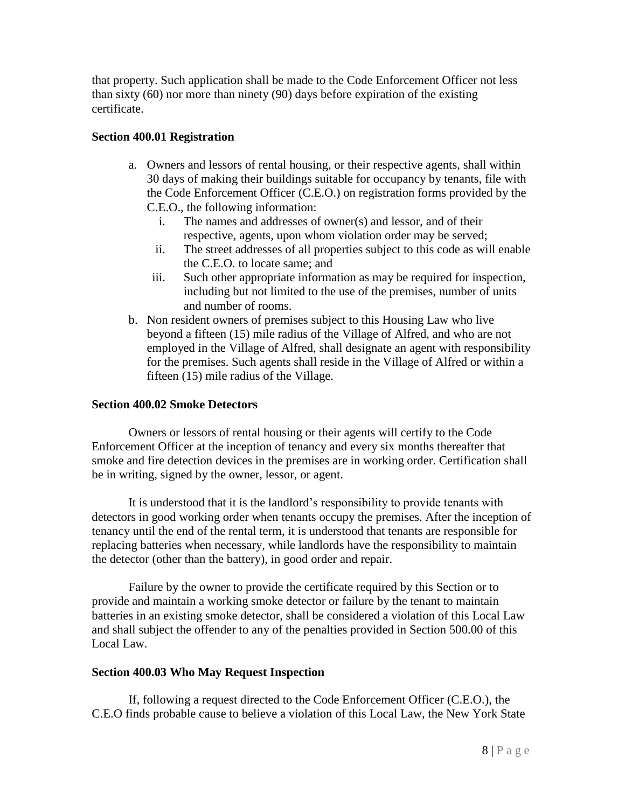that property. Such application shall be made to the Code Enforcement Officer not less than sixty (60) nor more than ninety (90) days before expiration of the existing certificate.

#### **Section 400.01 Registration**

- a. Owners and lessors of rental housing, or their respective agents, shall within 30 days of making their buildings suitable for occupancy by tenants, file with the Code Enforcement Officer (C.E.O.) on registration forms provided by the C.E.O., the following information:
	- i. The names and addresses of owner(s) and lessor, and of their respective, agents, upon whom violation order may be served;
	- ii. The street addresses of all properties subject to this code as will enable the C.E.O. to locate same; and
	- iii. Such other appropriate information as may be required for inspection, including but not limited to the use of the premises, number of units and number of rooms.
- b. Non resident owners of premises subject to this Housing Law who live beyond a fifteen (15) mile radius of the Village of Alfred, and who are not employed in the Village of Alfred, shall designate an agent with responsibility for the premises. Such agents shall reside in the Village of Alfred or within a fifteen (15) mile radius of the Village.

#### **Section 400.02 Smoke Detectors**

Owners or lessors of rental housing or their agents will certify to the Code Enforcement Officer at the inception of tenancy and every six months thereafter that smoke and fire detection devices in the premises are in working order. Certification shall be in writing, signed by the owner, lessor, or agent.

It is understood that it is the landlord's responsibility to provide tenants with detectors in good working order when tenants occupy the premises. After the inception of tenancy until the end of the rental term, it is understood that tenants are responsible for replacing batteries when necessary, while landlords have the responsibility to maintain the detector (other than the battery), in good order and repair.

Failure by the owner to provide the certificate required by this Section or to provide and maintain a working smoke detector or failure by the tenant to maintain batteries in an existing smoke detector, shall be considered a violation of this Local Law and shall subject the offender to any of the penalties provided in Section 500.00 of this Local Law.

#### **Section 400.03 Who May Request Inspection**

If, following a request directed to the Code Enforcement Officer (C.E.O.), the C.E.O finds probable cause to believe a violation of this Local Law, the New York State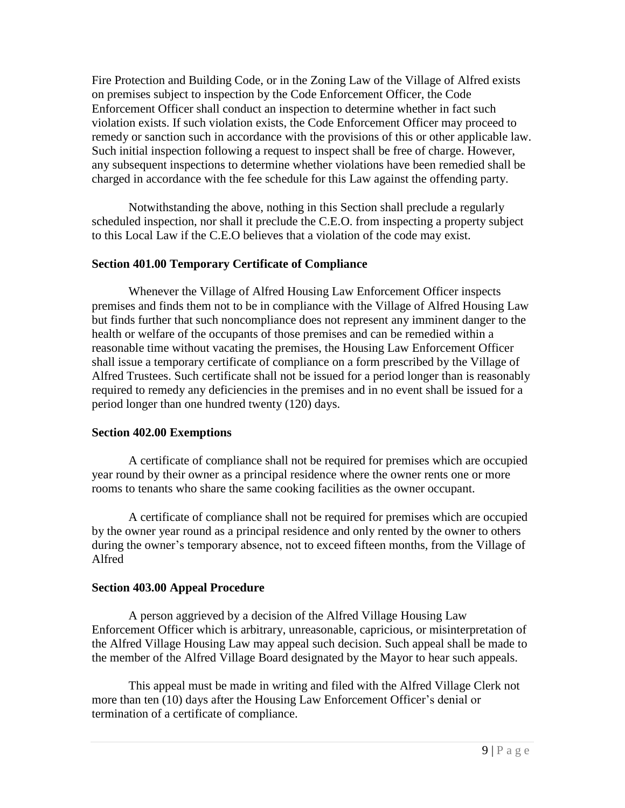Fire Protection and Building Code, or in the Zoning Law of the Village of Alfred exists on premises subject to inspection by the Code Enforcement Officer, the Code Enforcement Officer shall conduct an inspection to determine whether in fact such violation exists. If such violation exists, the Code Enforcement Officer may proceed to remedy or sanction such in accordance with the provisions of this or other applicable law. Such initial inspection following a request to inspect shall be free of charge. However, any subsequent inspections to determine whether violations have been remedied shall be charged in accordance with the fee schedule for this Law against the offending party.

Notwithstanding the above, nothing in this Section shall preclude a regularly scheduled inspection, nor shall it preclude the C.E.O. from inspecting a property subject to this Local Law if the C.E.O believes that a violation of the code may exist.

#### **Section 401.00 Temporary Certificate of Compliance**

Whenever the Village of Alfred Housing Law Enforcement Officer inspects premises and finds them not to be in compliance with the Village of Alfred Housing Law but finds further that such noncompliance does not represent any imminent danger to the health or welfare of the occupants of those premises and can be remedied within a reasonable time without vacating the premises, the Housing Law Enforcement Officer shall issue a temporary certificate of compliance on a form prescribed by the Village of Alfred Trustees. Such certificate shall not be issued for a period longer than is reasonably required to remedy any deficiencies in the premises and in no event shall be issued for a period longer than one hundred twenty (120) days.

#### **Section 402.00 Exemptions**

A certificate of compliance shall not be required for premises which are occupied year round by their owner as a principal residence where the owner rents one or more rooms to tenants who share the same cooking facilities as the owner occupant.

A certificate of compliance shall not be required for premises which are occupied by the owner year round as a principal residence and only rented by the owner to others during the owner's temporary absence, not to exceed fifteen months, from the Village of Alfred

#### **Section 403.00 Appeal Procedure**

A person aggrieved by a decision of the Alfred Village Housing Law Enforcement Officer which is arbitrary, unreasonable, capricious, or misinterpretation of the Alfred Village Housing Law may appeal such decision. Such appeal shall be made to the member of the Alfred Village Board designated by the Mayor to hear such appeals.

This appeal must be made in writing and filed with the Alfred Village Clerk not more than ten (10) days after the Housing Law Enforcement Officer's denial or termination of a certificate of compliance.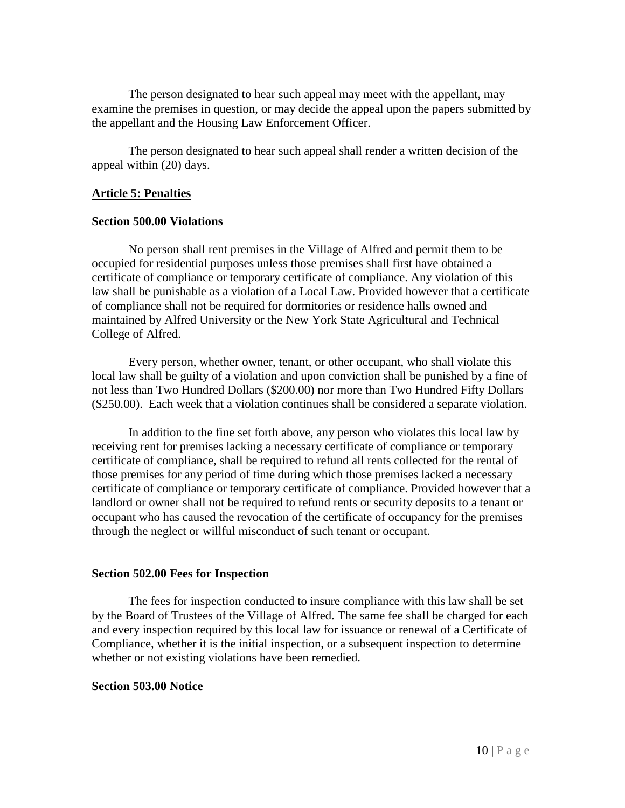The person designated to hear such appeal may meet with the appellant, may examine the premises in question, or may decide the appeal upon the papers submitted by the appellant and the Housing Law Enforcement Officer.

The person designated to hear such appeal shall render a written decision of the appeal within (20) days.

#### **Article 5: Penalties**

#### **Section 500.00 Violations**

No person shall rent premises in the Village of Alfred and permit them to be occupied for residential purposes unless those premises shall first have obtained a certificate of compliance or temporary certificate of compliance. Any violation of this law shall be punishable as a violation of a Local Law. Provided however that a certificate of compliance shall not be required for dormitories or residence halls owned and maintained by Alfred University or the New York State Agricultural and Technical College of Alfred.

Every person, whether owner, tenant, or other occupant, who shall violate this local law shall be guilty of a violation and upon conviction shall be punished by a fine of not less than Two Hundred Dollars (\$200.00) nor more than Two Hundred Fifty Dollars (\$250.00). Each week that a violation continues shall be considered a separate violation.

In addition to the fine set forth above, any person who violates this local law by receiving rent for premises lacking a necessary certificate of compliance or temporary certificate of compliance, shall be required to refund all rents collected for the rental of those premises for any period of time during which those premises lacked a necessary certificate of compliance or temporary certificate of compliance. Provided however that a landlord or owner shall not be required to refund rents or security deposits to a tenant or occupant who has caused the revocation of the certificate of occupancy for the premises through the neglect or willful misconduct of such tenant or occupant.

#### **Section 502.00 Fees for Inspection**

The fees for inspection conducted to insure compliance with this law shall be set by the Board of Trustees of the Village of Alfred. The same fee shall be charged for each and every inspection required by this local law for issuance or renewal of a Certificate of Compliance, whether it is the initial inspection, or a subsequent inspection to determine whether or not existing violations have been remedied.

#### **Section 503.00 Notice**